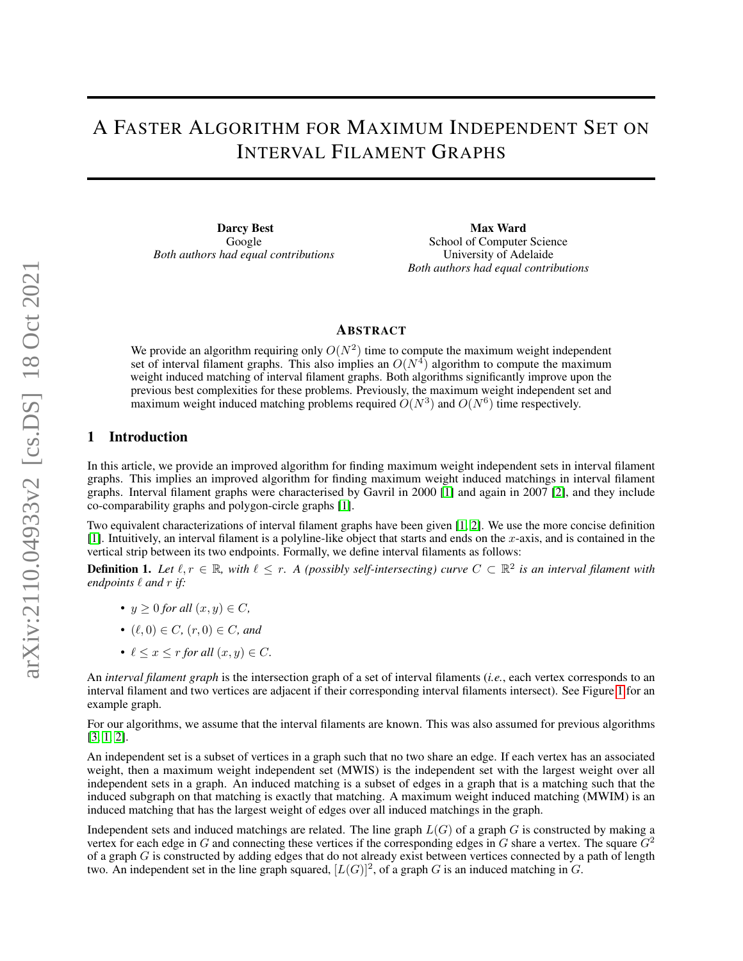# A FASTER ALGORITHM FOR MAXIMUM INDEPENDENT SET ON INTERVAL FILAMENT GRAPHS

Darcy Best Google *Both authors had equal contributions*

Max Ward School of Computer Science University of Adelaide *Both authors had equal contributions*

#### ABSTRACT

We provide an algorithm requiring only  $O(N^2)$  time to compute the maximum weight independent set of interval filament graphs. This also implies an  $O(N^4)$  algorithm to compute the maximum weight induced matching of interval filament graphs. Both algorithms significantly improve upon the previous best complexities for these problems. Previously, the maximum weight independent set and maximum weight induced matching problems required  $O(N^3)$  and  $O(N^6)$  time respectively.

#### 1 Introduction

In this article, we provide an improved algorithm for finding maximum weight independent sets in interval filament graphs. This implies an improved algorithm for finding maximum weight induced matchings in interval filament graphs. Interval filament graphs were characterised by Gavril in 2000 [\[1\]](#page-3-0) and again in 2007 [\[2\]](#page-3-1), and they include co-comparability graphs and polygon-circle graphs [\[1\]](#page-3-0).

Two equivalent characterizations of interval filament graphs have been given [\[1,](#page-3-0) [2\]](#page-3-1). We use the more concise definition [\[1\]](#page-3-0). Intuitively, an interval filament is a polyline-like object that starts and ends on the  $x$ -axis, and is contained in the vertical strip between its two endpoints. Formally, we define interval filaments as follows:

**Definition 1.** Let  $\ell, r \in \mathbb{R}$ , with  $\ell \leq r$ . A (possibly self-intersecting) curve  $C \subset \mathbb{R}^2$  is an interval filament with *endpoints*  $\ell$  *and*  $r$  *if:* 

- $y \geq 0$  *for all*  $(x, y) \in C$ *,*
- $(\ell, 0) \in C$ *,*  $(r, 0) \in C$ *, and*
- $\ell \leq x \leq r$  *for all*  $(x, y) \in C$ *.*

An *interval filament graph* is the intersection graph of a set of interval filaments (*i.e.*, each vertex corresponds to an interval filament and two vertices are adjacent if their corresponding interval filaments intersect). See Figure [1](#page-1-0) for an example graph.

For our algorithms, we assume that the interval filaments are known. This was also assumed for previous algorithms [\[3,](#page-3-2) [1,](#page-3-0) [2\]](#page-3-1).

An independent set is a subset of vertices in a graph such that no two share an edge. If each vertex has an associated weight, then a maximum weight independent set (MWIS) is the independent set with the largest weight over all independent sets in a graph. An induced matching is a subset of edges in a graph that is a matching such that the induced subgraph on that matching is exactly that matching. A maximum weight induced matching (MWIM) is an induced matching that has the largest weight of edges over all induced matchings in the graph.

Independent sets and induced matchings are related. The line graph  $L(G)$  of a graph G is constructed by making a vertex for each edge in G and connecting these vertices if the corresponding edges in G share a vertex. The square  $G<sup>2</sup>$ of a graph  $G$  is constructed by adding edges that do not already exist between vertices connected by a path of length two. An independent set in the line graph squared,  $[L(G)]^2$ , of a graph G is an induced matching in G.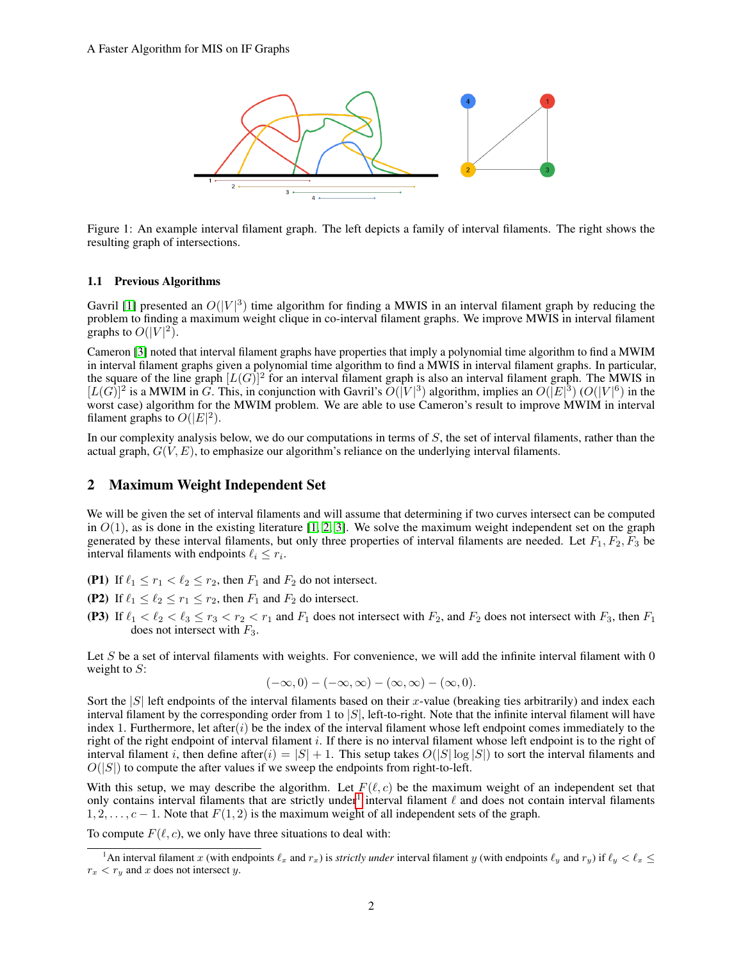

<span id="page-1-0"></span>Figure 1: An example interval filament graph. The left depicts a family of interval filaments. The right shows the resulting graph of intersections.

#### 1.1 Previous Algorithms

Gavril [\[1\]](#page-3-0) presented an  $O(|V|^3)$  time algorithm for finding a MWIS in an interval filament graph by reducing the problem to finding a maximum weight clique in co-interval filament graphs. We improve MWIS in interval filament graphs to  $O(|V|^2)$ .

Cameron [\[3\]](#page-3-2) noted that interval filament graphs have properties that imply a polynomial time algorithm to find a MWIM in interval filament graphs given a polynomial time algorithm to find a MWIS in interval filament graphs. In particular, the square of the line graph  $[L(G)]^2$  for an interval filament graph is also an interval filament graph. The MWIS in  $[L(G)]^2$  is a MWIM in G. This, in conjunction with Gavril's  $O([V]^3)$  algorithm, implies an  $O([E]^3)$   $(O(|V|^6)$  in the worst case) algorithm for the MWIM problem. We are able to use Cameron's result to improve MWIM in interval filament graphs to  $O(|E|^2)$ .

In our complexity analysis below, we do our computations in terms of  $S$ , the set of interval filaments, rather than the actual graph,  $G(V, E)$ , to emphasize our algorithm's reliance on the underlying interval filaments.

#### <span id="page-1-2"></span>2 Maximum Weight Independent Set

We will be given the set of interval filaments and will assume that determining if two curves intersect can be computed in  $O(1)$ , as is done in the existing literature [\[1,](#page-3-0) [2,](#page-3-1) [3\]](#page-3-2). We solve the maximum weight independent set on the graph generated by these interval filaments, but only three properties of interval filaments are needed. Let  $F_1, F_2, F_3$  be interval filaments with endpoints  $\ell_i \leq r_i$ .

- (P1) If  $\ell_1 \le r_1 < \ell_2 \le r_2$ , then  $F_1$  and  $F_2$  do not intersect.
- (P2) If  $\ell_1 \leq \ell_2 \leq r_1 \leq r_2$ , then  $F_1$  and  $F_2$  do intersect.
- (P3) If  $\ell_1 < \ell_2 < \ell_3 \le r_3 < r_2 < r_1$  and  $F_1$  does not intersect with  $F_2$ , and  $F_2$  does not intersect with  $F_3$ , then  $F_1$ does not intersect with  $F_3$ .

Let  $S$  be a set of interval filaments with weights. For convenience, we will add the infinite interval filament with  $0$ weight to  $S$ :

$$
(-\infty,0)-(-\infty,\infty)-(\infty,\infty)-(\infty,0).
$$

Sort the  $|S|$  left endpoints of the interval filaments based on their x-value (breaking ties arbitrarily) and index each interval filament by the corresponding order from 1 to  $|S|$ , left-to-right. Note that the infinite interval filament will have index 1. Furthermore, let after $(i)$  be the index of the interval filament whose left endpoint comes immediately to the right of the right endpoint of interval filament i. If there is no interval filament whose left endpoint is to the right of interval filament i, then define after(i) =  $|S|$  + 1. This setup takes  $O(|S| \log |S|)$  to sort the interval filaments and  $O(|S|)$  to compute the after values if we sweep the endpoints from right-to-left.

With this setup, we may describe the algorithm. Let  $F(\ell, c)$  be the maximum weight of an independent set that only contains interval filaments that are strictly under<sup>[1](#page-1-1)</sup> interval filament  $\ell$  and does not contain interval filaments  $1, 2, \ldots, c - 1$ . Note that  $F(1, 2)$  is the maximum weight of all independent sets of the graph.

To compute  $F(\ell, c)$ , we only have three situations to deal with:

<span id="page-1-1"></span><sup>&</sup>lt;sup>1</sup>An interval filament x (with endpoints  $\ell_x$  and  $r_x$ ) is *strictly under* interval filament y (with endpoints  $\ell_y$  and  $r_y$ ) if  $\ell_y < \ell_x \leq$  $r_x < r_y$  and x does not intersect y.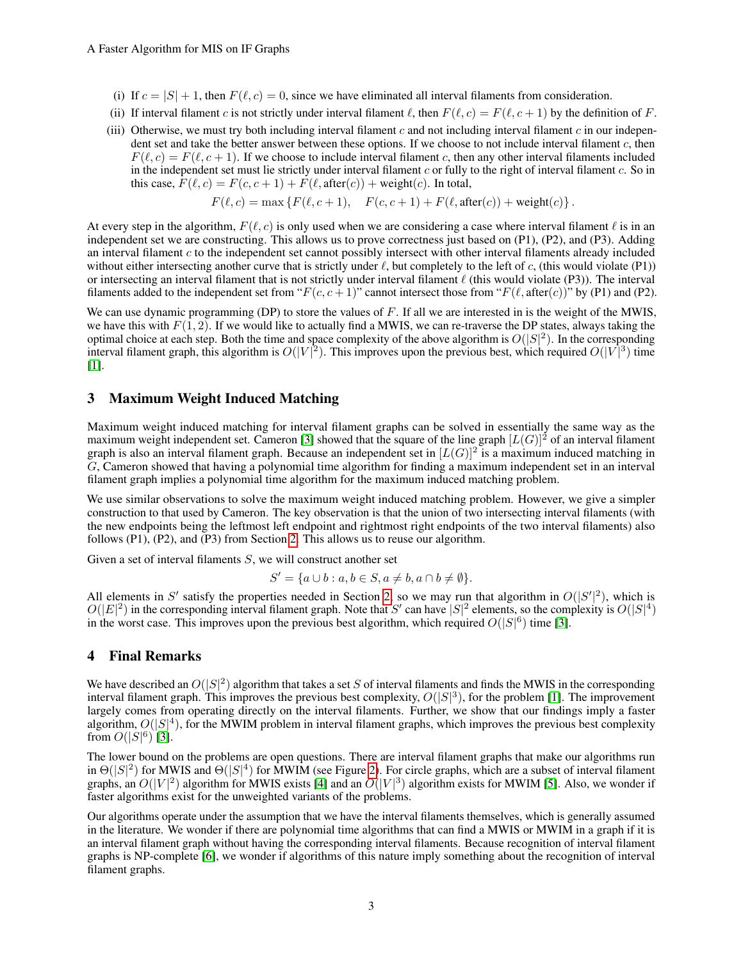- (i) If  $c = |S| + 1$ , then  $F(\ell, c) = 0$ , since we have eliminated all interval filaments from consideration.
- (ii) If interval filament c is not strictly under interval filament  $\ell$ , then  $F(\ell, c) = F(\ell, c + 1)$  by the definition of F.
- (iii) Otherwise, we must try both including interval filament c and not including interval filament c in our independent set and take the better answer between these options. If we choose to not include interval filament  $c$ , then  $F(\ell, c) = F(\ell, c + 1)$ . If we choose to include interval filament c, then any other interval filaments included in the independent set must lie strictly under interval filament  $c$  or fully to the right of interval filament  $c$ . So in this case,  $F(\ell, c) = F(c, c + 1) + F(\ell, \text{after}(c)) + \text{weight}(c)$ . In total,

$$
F(\ell, c) = \max \{ F(\ell, c + 1), \quad F(c, c + 1) + F(\ell, \text{after}(c)) + \text{weight}(c) \}.
$$

At every step in the algorithm,  $F(\ell, c)$  is only used when we are considering a case where interval filament  $\ell$  is in an independent set we are constructing. This allows us to prove correctness just based on (P1), (P2), and (P3). Adding an interval filament  $c$  to the independent set cannot possibly intersect with other interval filaments already included without either intersecting another curve that is strictly under  $\ell$ , but completely to the left of c, (this would violate (P1)) or intersecting an interval filament that is not strictly under interval filament  $\ell$  (this would violate (P3)). The interval filaments added to the independent set from " $F(c, c + 1)$ " cannot intersect those from " $F(\ell, \text{after}(c))$ " by (P1) and (P2).

We can use dynamic programming (DP) to store the values of F. If all we are interested in is the weight of the MWIS, we have this with  $F(1, 2)$ . If we would like to actually find a MWIS, we can re-traverse the DP states, always taking the optimal choice at each step. Both the time and space complexity of the above algorithm is  $O(|S|^2)$ . In the corresponding interval filament graph, this algorithm is  $O(|V|^2)$ . This improves upon the previous best, which required  $O(|V|^3)$  time [\[1\]](#page-3-0).

## 3 Maximum Weight Induced Matching

Maximum weight induced matching for interval filament graphs can be solved in essentially the same way as the maximum weight independent set. Cameron [\[3\]](#page-3-2) showed that the square of the line graph  $[L(G)]^2$  of an interval filament graph is also an interval filament graph. Because an independent set in  $[L(G)]^2$  is a maximum induced matching in G, Cameron showed that having a polynomial time algorithm for finding a maximum independent set in an interval filament graph implies a polynomial time algorithm for the maximum induced matching problem.

We use similar observations to solve the maximum weight induced matching problem. However, we give a simpler construction to that used by Cameron. The key observation is that the union of two intersecting interval filaments (with the new endpoints being the leftmost left endpoint and rightmost right endpoints of the two interval filaments) also follows (P1), (P2), and (P3) from Section [2.](#page-1-2) This allows us to reuse our algorithm.

Given a set of interval filaments  $S$ , we will construct another set

$$
S' = \{a \cup b : a, b \in S, a \neq b, a \cap b \neq \emptyset\}.
$$

All elements in S' satisfy the properties needed in Section [2,](#page-1-2) so we may run that algorithm in  $O(|S'|^2)$ , which is  $O(|E|^2)$  in the corresponding interval filament graph. Note that S' can have  $|S|^2$  elements, so the complexity is  $O(|S|^4)$ in the worst case. This improves upon the previous best algorithm, which required  $O(|S|^6)$  time [\[3\]](#page-3-2).

### 4 Final Remarks

We have described an  $O(|S|^2)$  algorithm that takes a set S of interval filaments and finds the MWIS in the corresponding interval filament graph. This improves the previous best complexity,  $O(|S|^3)$ , for the problem [\[1\]](#page-3-0). The improvement largely comes from operating directly on the interval filaments. Further, we show that our findings imply a faster algorithm,  $O(|S|^4)$ , for the MWIM problem in interval filament graphs, which improves the previous best complexity from  $O(|S|^6)$  [\[3\]](#page-3-2).

The lower bound on the problems are open questions. There are interval filament graphs that make our algorithms run in  $\Theta(|S|^2)$  for MWIS and  $\Theta(|S|^4)$  for MWIM (see Figure [2\)](#page-3-3). For circle graphs, which are a subset of interval filament graphs, an  $O(|V|^2)$  algorithm for MWIS exists [\[4\]](#page-3-4) and an  $O(|V|^3)$  algorithm exists for MWIM [\[5\]](#page-3-5). Also, we wonder if faster algorithms exist for the unweighted variants of the problems.

Our algorithms operate under the assumption that we have the interval filaments themselves, which is generally assumed in the literature. We wonder if there are polynomial time algorithms that can find a MWIS or MWIM in a graph if it is an interval filament graph without having the corresponding interval filaments. Because recognition of interval filament graphs is NP-complete [\[6\]](#page-3-6), we wonder if algorithms of this nature imply something about the recognition of interval filament graphs.